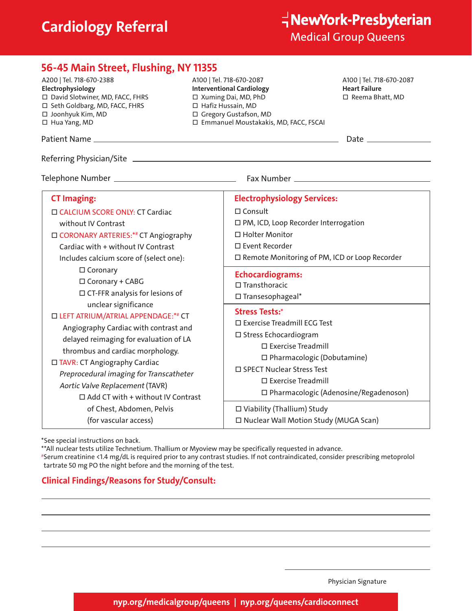# **Cardiology Referral**

| 56-45 Main Street, Flushing, NY 11355                                                                                                                                                                                                                                                                                                                                                                                                                                                                                                                                                                                                                   |                                                                                                                                                                                    |                                                                                                                                                                                                                                                                                |  |
|---------------------------------------------------------------------------------------------------------------------------------------------------------------------------------------------------------------------------------------------------------------------------------------------------------------------------------------------------------------------------------------------------------------------------------------------------------------------------------------------------------------------------------------------------------------------------------------------------------------------------------------------------------|------------------------------------------------------------------------------------------------------------------------------------------------------------------------------------|--------------------------------------------------------------------------------------------------------------------------------------------------------------------------------------------------------------------------------------------------------------------------------|--|
| A200   Tel. 718-670-2388<br>Electrophysiology<br>□ David Slotwiner, MD, FACC, FHRS<br>□ Seth Goldbarg, MD, FACC, FHRS<br>□ Joonhyuk Kim, MD<br>$\Box$ Hua Yang, MD                                                                                                                                                                                                                                                                                                                                                                                                                                                                                      | A100   Tel. 718-670-2087<br><b>Interventional Cardiology</b><br>□ Xuming Dai, MD, PhD<br>□ Hafiz Hussain, MD<br>□ Gregory Gustafson, MD<br>□ Emmanuel Moustakakis, MD, FACC, FSCAI | A100   Tel. 718-670-2087<br><b>Heart Failure</b><br>□ Reema Bhatt, MD                                                                                                                                                                                                          |  |
|                                                                                                                                                                                                                                                                                                                                                                                                                                                                                                                                                                                                                                                         |                                                                                                                                                                                    | Date $\_\_$                                                                                                                                                                                                                                                                    |  |
|                                                                                                                                                                                                                                                                                                                                                                                                                                                                                                                                                                                                                                                         |                                                                                                                                                                                    |                                                                                                                                                                                                                                                                                |  |
|                                                                                                                                                                                                                                                                                                                                                                                                                                                                                                                                                                                                                                                         |                                                                                                                                                                                    |                                                                                                                                                                                                                                                                                |  |
| <b>CT Imaging:</b>                                                                                                                                                                                                                                                                                                                                                                                                                                                                                                                                                                                                                                      | <b>Electrophysiology Services:</b>                                                                                                                                                 |                                                                                                                                                                                                                                                                                |  |
| □ CALCIUM SCORE ONLY: CT Cardiac<br>without IV Contrast<br>□ CORONARY ARTERIES:*# CT Angiography<br>Cardiac with + without IV Contrast<br>Includes calcium score of (select one):<br>$\Box$ Coronary<br>□ Coronary + CABG<br>$\Box$ CT-FFR analysis for lesions of<br>unclear significance<br>□ LEFT ATRIUM/ATRIAL APPENDAGE:*# CT<br>Angiography Cardiac with contrast and<br>delayed reimaging for evaluation of LA<br>thrombus and cardiac morphology.<br>$\Box$ TAVR: CT Angiography Cardiac<br>Preprocedural imaging for Transcatheter<br>Aortic Valve Replacement (TAVR)<br>$\Box$ Add CT with + without IV Contrast<br>of Chest, Abdomen, Pelvis | $\Box$ Consult<br>□ Holter Monitor<br>□ Event Recorder<br><b>Echocardiograms:</b><br>$\square$ Transthoracic<br>$\square$ Transesophageal*<br><b>Stress Tests:*</b>                | □ PM, ICD, Loop Recorder Interrogation<br>□ Remote Monitoring of PM, ICD or Loop Recorder<br>□ Exercise Treadmill ECG Test<br>□ Stress Echocardiogram<br>$\Box$ Exercise Treadmill<br>□ Pharmacologic (Dobutamine)<br>□ SPECT Nuclear Stress Test<br>$\Box$ Exercise Treadmill |  |
|                                                                                                                                                                                                                                                                                                                                                                                                                                                                                                                                                                                                                                                         |                                                                                                                                                                                    | □ Pharmacologic (Adenosine/Regadenoson)<br>□ Viability (Thallium) Study                                                                                                                                                                                                        |  |
| (for vascular access)                                                                                                                                                                                                                                                                                                                                                                                                                                                                                                                                                                                                                                   |                                                                                                                                                                                    | □ Nuclear Wall Motion Study (MUGA Scan)                                                                                                                                                                                                                                        |  |

\*See special instructions on back.

\*\*All nuclear tests utilize Technetium. Thallium or Myoview may be specifically requested in advance.

#Serum creatinine <1.4 mg/dL is required prior to any contrast studies. If not contraindicated, consider prescribing metoprolol tartrate 50 mg PO the night before and the morning of the test.

### **Clinical Findings/Reasons for Study/Consult:**

Physician Signature